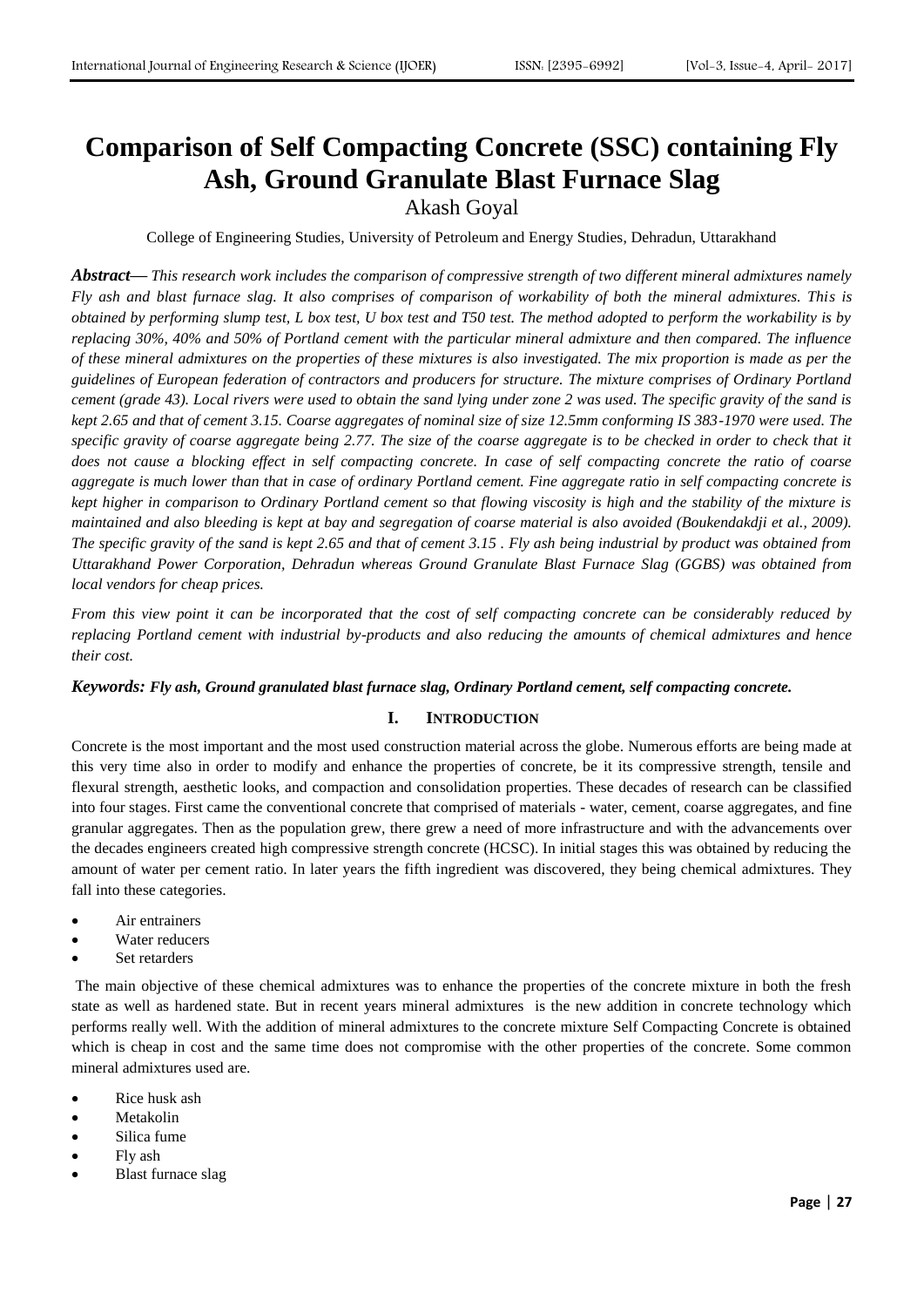# **Comparison of Self Compacting Concrete (SSC) containing Fly Ash, Ground Granulate Blast Furnace Slag**

Akash Goyal

College of Engineering Studies, University of Petroleum and Energy Studies, Dehradun, Uttarakhand

*Abstract***—** *This research work includes the comparison of compressive strength of two different mineral admixtures namely Fly ash and blast furnace slag. It also comprises of comparison of workability of both the mineral admixtures. This is obtained by performing slump test, L box test, U box test and T50 test. The method adopted to perform the workability is by replacing 30%, 40% and 50% of Portland cement with the particular mineral admixture and then compared. The influence of these mineral admixtures on the properties of these mixtures is also investigated. The mix proportion is made as per the guidelines of European federation of contractors and producers for structure. The mixture comprises of Ordinary Portland cement (grade 43). Local rivers were used to obtain the sand lying under zone 2 was used. The specific gravity of the sand is kept 2.65 and that of cement 3.15. Coarse aggregates of nominal size of size 12.5mm conforming IS 383-1970 were used. The specific gravity of coarse aggregate being 2.77. The size of the coarse aggregate is to be checked in order to check that it does not cause a blocking effect in self compacting concrete. In case of self compacting concrete the ratio of coarse aggregate is much lower than that in case of ordinary Portland cement. Fine aggregate ratio in self compacting concrete is kept higher in comparison to Ordinary Portland cement so that flowing viscosity is high and the stability of the mixture is maintained and also bleeding is kept at bay and segregation of coarse material is also avoided (Boukendakdji et al., 2009). The specific gravity of the sand is kept 2.65 and that of cement 3.15 . Fly ash being industrial by product was obtained from Uttarakhand Power Corporation, Dehradun whereas Ground Granulate Blast Furnace Slag (GGBS) was obtained from local vendors for cheap prices.* 

*From this view point it can be incorporated that the cost of self compacting concrete can be considerably reduced by replacing Portland cement with industrial by-products and also reducing the amounts of chemical admixtures and hence their cost.*

## *Keywords: Fly ash, Ground granulated blast furnace slag, Ordinary Portland cement, self compacting concrete.*

# **I. INTRODUCTION**

Concrete is the most important and the most used construction material across the globe. Numerous efforts are being made at this very time also in order to modify and enhance the properties of concrete, be it its compressive strength, tensile and flexural strength, aesthetic looks, and compaction and consolidation properties. These decades of research can be classified into four stages. First came the conventional concrete that comprised of materials - water, cement, coarse aggregates, and fine granular aggregates. Then as the population grew, there grew a need of more infrastructure and with the advancements over the decades engineers created high compressive strength concrete (HCSC). In initial stages this was obtained by reducing the amount of water per cement ratio. In later years the fifth ingredient was discovered, they being chemical admixtures. They fall into these categories.

- Air entrainers
- Water reducers
- Set retarders

The main objective of these chemical admixtures was to enhance the properties of the concrete mixture in both the fresh state as well as hardened state. But in recent years mineral admixtures is the new addition in concrete technology which performs really well. With the addition of mineral admixtures to the concrete mixture Self Compacting Concrete is obtained which is cheap in cost and the same time does not compromise with the other properties of the concrete. Some common mineral admixtures used are.

- Rice husk ash
- Metakolin
- Silica fume
- Fly ash
- Blast furnace slag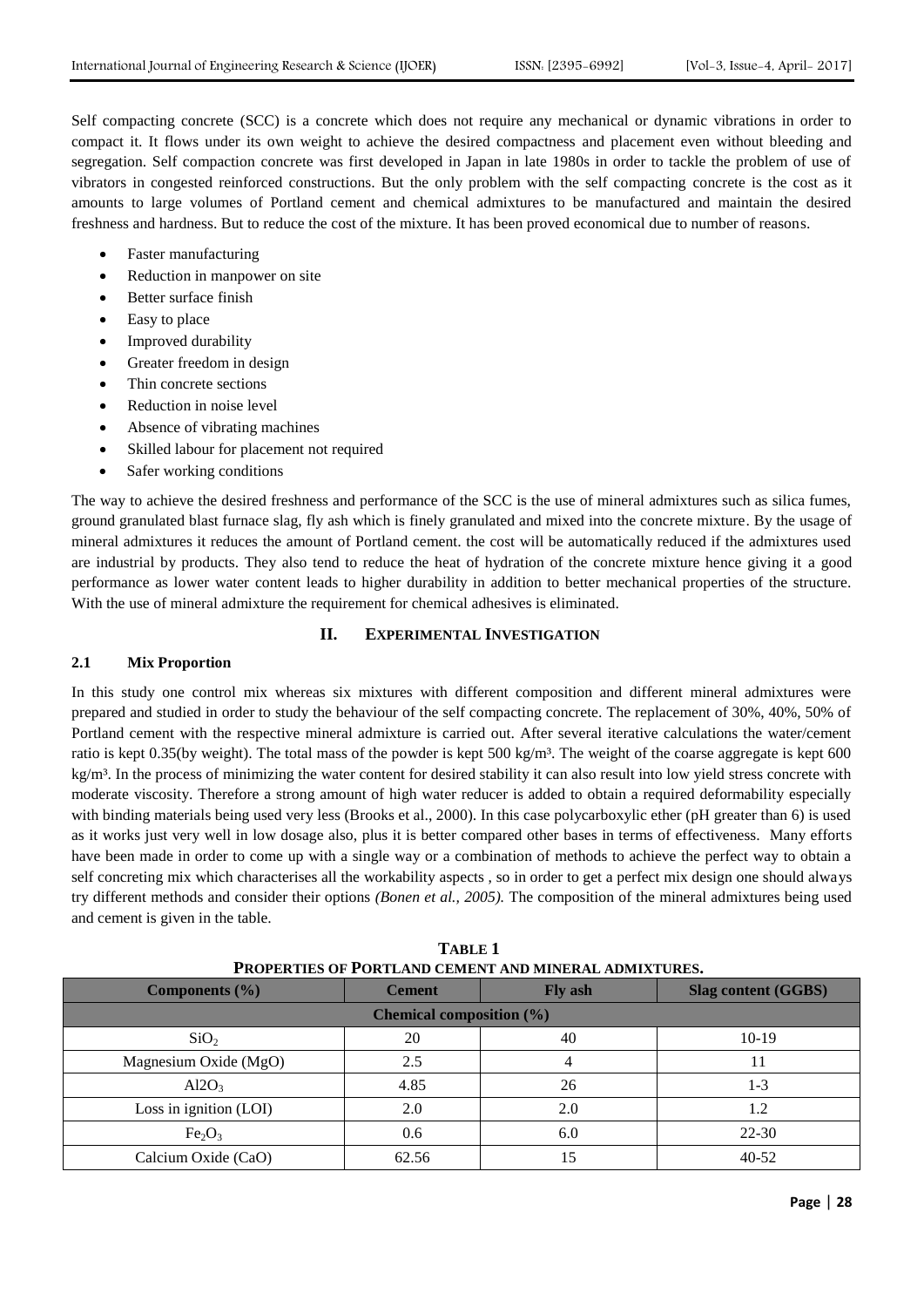Self compacting concrete (SCC) is a concrete which does not require any mechanical or dynamic vibrations in order to compact it. It flows under its own weight to achieve the desired compactness and placement even without bleeding and segregation. Self compaction concrete was first developed in Japan in late 1980s in order to tackle the problem of use of vibrators in congested reinforced constructions. But the only problem with the self compacting concrete is the cost as it amounts to large volumes of Portland cement and chemical admixtures to be manufactured and maintain the desired freshness and hardness. But to reduce the cost of the mixture. It has been proved economical due to number of reasons.

- Faster manufacturing
- Reduction in manpower on site
- Better surface finish
- Easy to place
- Improved durability
- Greater freedom in design
- Thin concrete sections
- Reduction in noise level
- Absence of vibrating machines
- Skilled labour for placement not required
- Safer working conditions

The way to achieve the desired freshness and performance of the SCC is the use of mineral admixtures such as silica fumes, ground granulated blast furnace slag, fly ash which is finely granulated and mixed into the concrete mixture. By the usage of mineral admixtures it reduces the amount of Portland cement. the cost will be automatically reduced if the admixtures used are industrial by products. They also tend to reduce the heat of hydration of the concrete mixture hence giving it a good performance as lower water content leads to higher durability in addition to better mechanical properties of the structure. With the use of mineral admixture the requirement for chemical adhesives is eliminated.

#### **II. EXPERIMENTAL INVESTIGATION**

#### **2.1 Mix Proportion**

In this study one control mix whereas six mixtures with different composition and different mineral admixtures were prepared and studied in order to study the behaviour of the self compacting concrete. The replacement of 30%, 40%, 50% of Portland cement with the respective mineral admixture is carried out. After several iterative calculations the water/cement ratio is kept 0.35(by weight). The total mass of the powder is kept 500 kg/m³. The weight of the coarse aggregate is kept 600 kg/m<sup>3</sup>. In the process of minimizing the water content for desired stability it can also result into low yield stress concrete with moderate viscosity. Therefore a strong amount of high water reducer is added to obtain a required deformability especially with binding materials being used very less (Brooks et al., 2000). In this case polycarboxylic ether (pH greater than 6) is used as it works just very well in low dosage also, plus it is better compared other bases in terms of effectiveness. Many efforts have been made in order to come up with a single way or a combination of methods to achieve the perfect way to obtain a self concreting mix which characterises all the workability aspects , so in order to get a perfect mix design one should always try different methods and consider their options *(Bonen et al., 2005).* The composition of the mineral admixtures being used and cement is given in the table.

| I KUFEKTIES UF I UKTLAND CEMENT AND MINEKAL ADMIATURES. |                                 |     |                            |  |  |  |
|---------------------------------------------------------|---------------------------------|-----|----------------------------|--|--|--|
| Components $(\% )$                                      | <b>Cement</b><br><b>Fly ash</b> |     | <b>Slag content (GGBS)</b> |  |  |  |
| <b>Chemical composition</b> $(\%)$                      |                                 |     |                            |  |  |  |
| SiO <sub>2</sub>                                        | 20                              | 40  | $10-19$                    |  |  |  |
| Magnesium Oxide (MgO)                                   | 2.5                             |     |                            |  |  |  |
| Al2O <sub>3</sub>                                       | 4.85                            | 26  | $1 - 3$                    |  |  |  |
| Loss in ignition (LOI)                                  | 2.0                             | 2.0 | 1.2                        |  |  |  |
| Fe <sub>2</sub> O <sub>3</sub>                          | 0.6                             | 6.0 | $22 - 30$                  |  |  |  |
| Calcium Oxide (CaO)                                     | 62.56                           |     | $40 - 52$                  |  |  |  |

**TABLE 1 PROPERTIES OF PORTLAND CEMENT AND MINERAL ADMIXTURES.**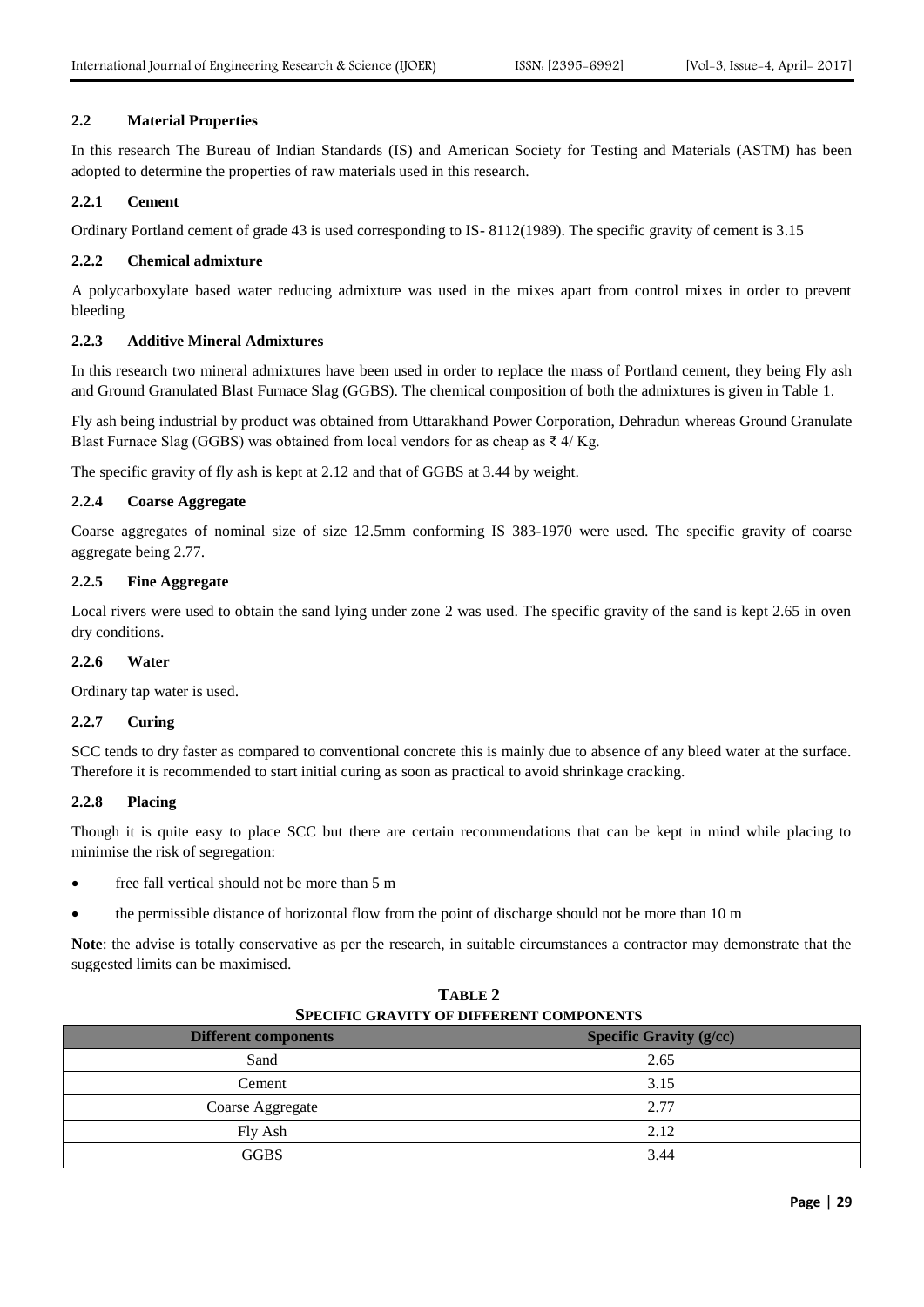## **2.2 Material Properties**

In this research The Bureau of Indian Standards (IS) and American Society for Testing and Materials (ASTM) has been adopted to determine the properties of raw materials used in this research.

## **2.2.1 Cement**

Ordinary Portland cement of grade 43 is used corresponding to IS- 8112(1989). The specific gravity of cement is 3.15

## **2.2.2 Chemical admixture**

A polycarboxylate based water reducing admixture was used in the mixes apart from control mixes in order to prevent bleeding

## **2.2.3 Additive Mineral Admixtures**

In this research two mineral admixtures have been used in order to replace the mass of Portland cement, they being Fly ash and Ground Granulated Blast Furnace Slag (GGBS). The chemical composition of both the admixtures is given in Table 1.

Fly ash being industrial by product was obtained from Uttarakhand Power Corporation, Dehradun whereas Ground Granulate Blast Furnace Slag (GGBS) was obtained from local vendors for as cheap as  $\bar{\tau}$  4/ Kg.

The specific gravity of fly ash is kept at 2.12 and that of GGBS at 3.44 by weight.

## **2.2.4 Coarse Aggregate**

Coarse aggregates of nominal size of size 12.5mm conforming IS 383-1970 were used. The specific gravity of coarse aggregate being 2.77.

## **2.2.5 Fine Aggregate**

Local rivers were used to obtain the sand lying under zone 2 was used. The specific gravity of the sand is kept 2.65 in oven dry conditions.

## **2.2.6 Water**

Ordinary tap water is used.

## **2.2.7 Curing**

SCC tends to dry faster as compared to conventional concrete this is mainly due to absence of any bleed water at the surface. Therefore it is recommended to start initial curing as soon as practical to avoid shrinkage cracking.

## **2.2.8 Placing**

Though it is quite easy to place SCC but there are certain recommendations that can be kept in mind while placing to minimise the risk of segregation:

- free fall vertical should not be more than 5 m
- the permissible distance of horizontal flow from the point of discharge should not be more than 10 m

**Note**: the advise is totally conservative as per the research, in suitable circumstances a contractor may demonstrate that the suggested limits can be maximised.

**TABLE 2**

| тирие 2<br><b>SPECIFIC GRAVITY OF DIFFERENT COMPONENTS</b> |                                |  |  |
|------------------------------------------------------------|--------------------------------|--|--|
| <b>Different components</b>                                | <b>Specific Gravity (g/cc)</b> |  |  |
| Sand                                                       | 2.65                           |  |  |
| Cement                                                     | 3.15                           |  |  |
| Coarse Aggregate                                           | 2.77                           |  |  |
| Fly Ash                                                    | 2.12                           |  |  |
| <b>GGBS</b>                                                | 3.44                           |  |  |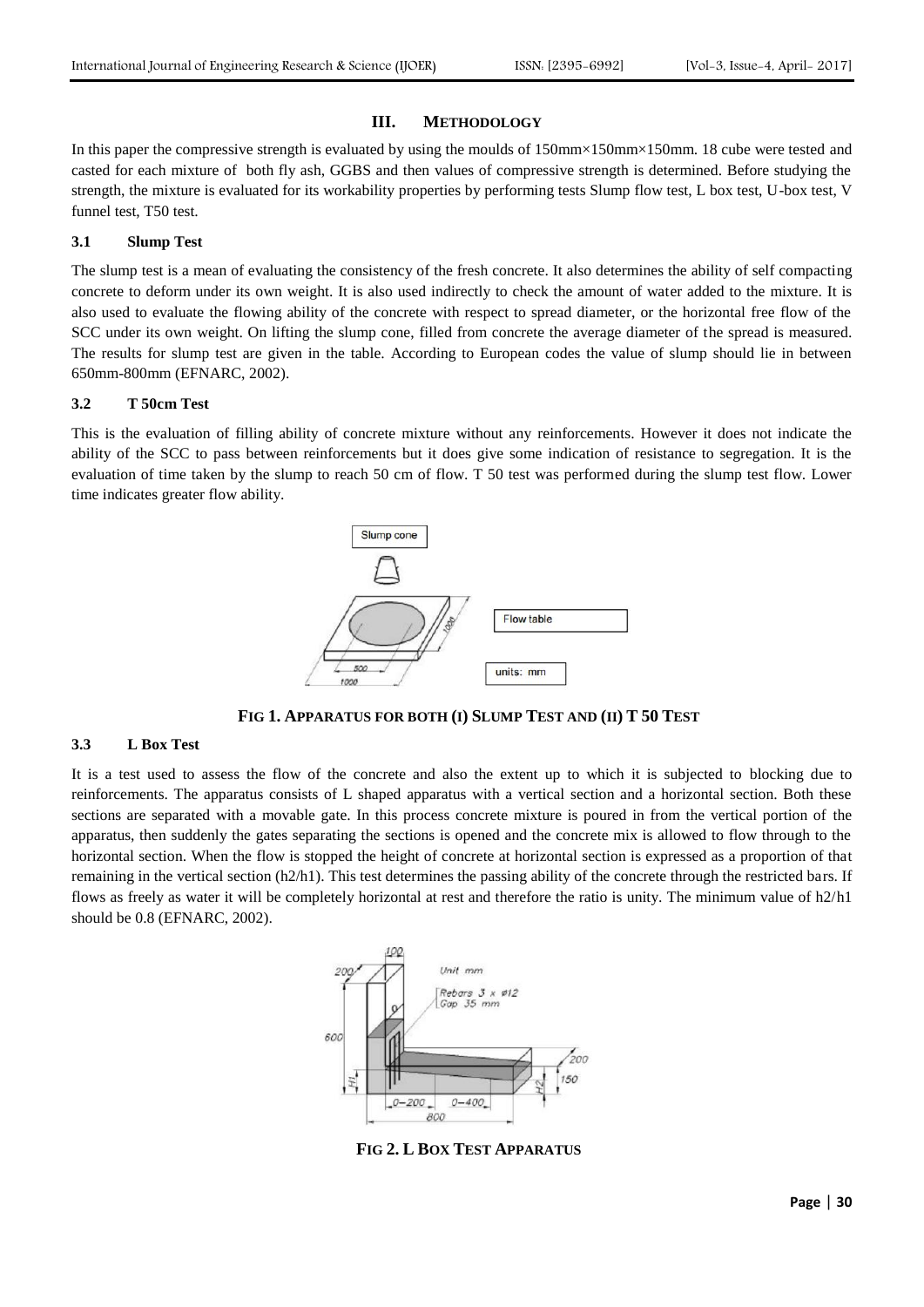#### **III. METHODOLOGY**

In this paper the compressive strength is evaluated by using the moulds of 150mm×150mm×150mm. 18 cube were tested and casted for each mixture of both fly ash, GGBS and then values of compressive strength is determined. Before studying the strength, the mixture is evaluated for its workability properties by performing tests Slump flow test, L box test, U-box test, V funnel test, T50 test.

#### **3.1 Slump Test**

The slump test is a mean of evaluating the consistency of the fresh concrete. It also determines the ability of self compacting concrete to deform under its own weight. It is also used indirectly to check the amount of water added to the mixture. It is also used to evaluate the flowing ability of the concrete with respect to spread diameter, or the horizontal free flow of the SCC under its own weight. On lifting the slump cone, filled from concrete the average diameter of the spread is measured. The results for slump test are given in the table. According to European codes the value of slump should lie in between 650mm-800mm (EFNARC, 2002).

#### **3.2 T 50cm Test**

This is the evaluation of filling ability of concrete mixture without any reinforcements. However it does not indicate the ability of the SCC to pass between reinforcements but it does give some indication of resistance to segregation. It is the evaluation of time taken by the slump to reach 50 cm of flow. T 50 test was performed during the slump test flow. Lower time indicates greater flow ability.



**FIG 1. APPARATUS FOR BOTH (I) SLUMP TEST AND (II) T 50 TEST**

## **3.3 L Box Test**

It is a test used to assess the flow of the concrete and also the extent up to which it is subjected to blocking due to reinforcements. The apparatus consists of L shaped apparatus with a vertical section and a horizontal section. Both these sections are separated with a movable gate. In this process concrete mixture is poured in from the vertical portion of the apparatus, then suddenly the gates separating the sections is opened and the concrete mix is allowed to flow through to the horizontal section. When the flow is stopped the height of concrete at horizontal section is expressed as a proportion of that remaining in the vertical section (h2/h1). This test determines the passing ability of the concrete through the restricted bars. If flows as freely as water it will be completely horizontal at rest and therefore the ratio is unity. The minimum value of h2/h1 should be 0.8 (EFNARC, 2002).



**FIG 2. L BOX TEST APPARATUS**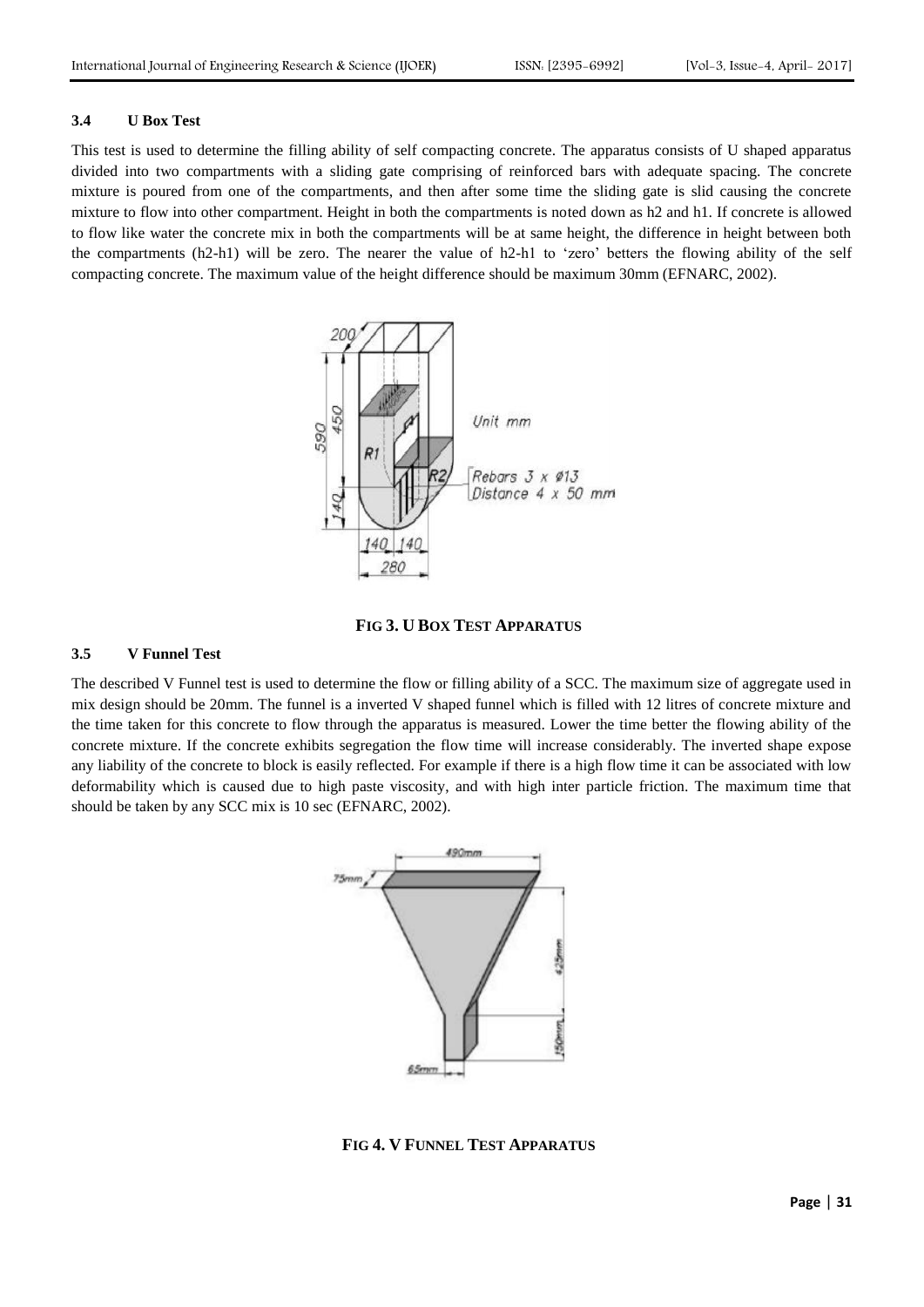#### **3.4 U Box Test**

This test is used to determine the filling ability of self compacting concrete. The apparatus consists of U shaped apparatus divided into two compartments with a sliding gate comprising of reinforced bars with adequate spacing. The concrete mixture is poured from one of the compartments, and then after some time the sliding gate is slid causing the concrete mixture to flow into other compartment. Height in both the compartments is noted down as h2 and h1. If concrete is allowed to flow like water the concrete mix in both the compartments will be at same height, the difference in height between both the compartments (h2-h1) will be zero. The nearer the value of h2-h1 to 'zero' betters the flowing ability of the self compacting concrete. The maximum value of the height difference should be maximum 30mm (EFNARC, 2002).





## **3.5 V Funnel Test**

The described V Funnel test is used to determine the flow or filling ability of a SCC. The maximum size of aggregate used in mix design should be 20mm. The funnel is a inverted V shaped funnel which is filled with 12 litres of concrete mixture and the time taken for this concrete to flow through the apparatus is measured. Lower the time better the flowing ability of the concrete mixture. If the concrete exhibits segregation the flow time will increase considerably. The inverted shape expose any liability of the concrete to block is easily reflected. For example if there is a high flow time it can be associated with low deformability which is caused due to high paste viscosity, and with high inter particle friction. The maximum time that should be taken by any SCC mix is 10 sec (EFNARC, 2002).



**FIG 4. V FUNNEL TEST APPARATUS**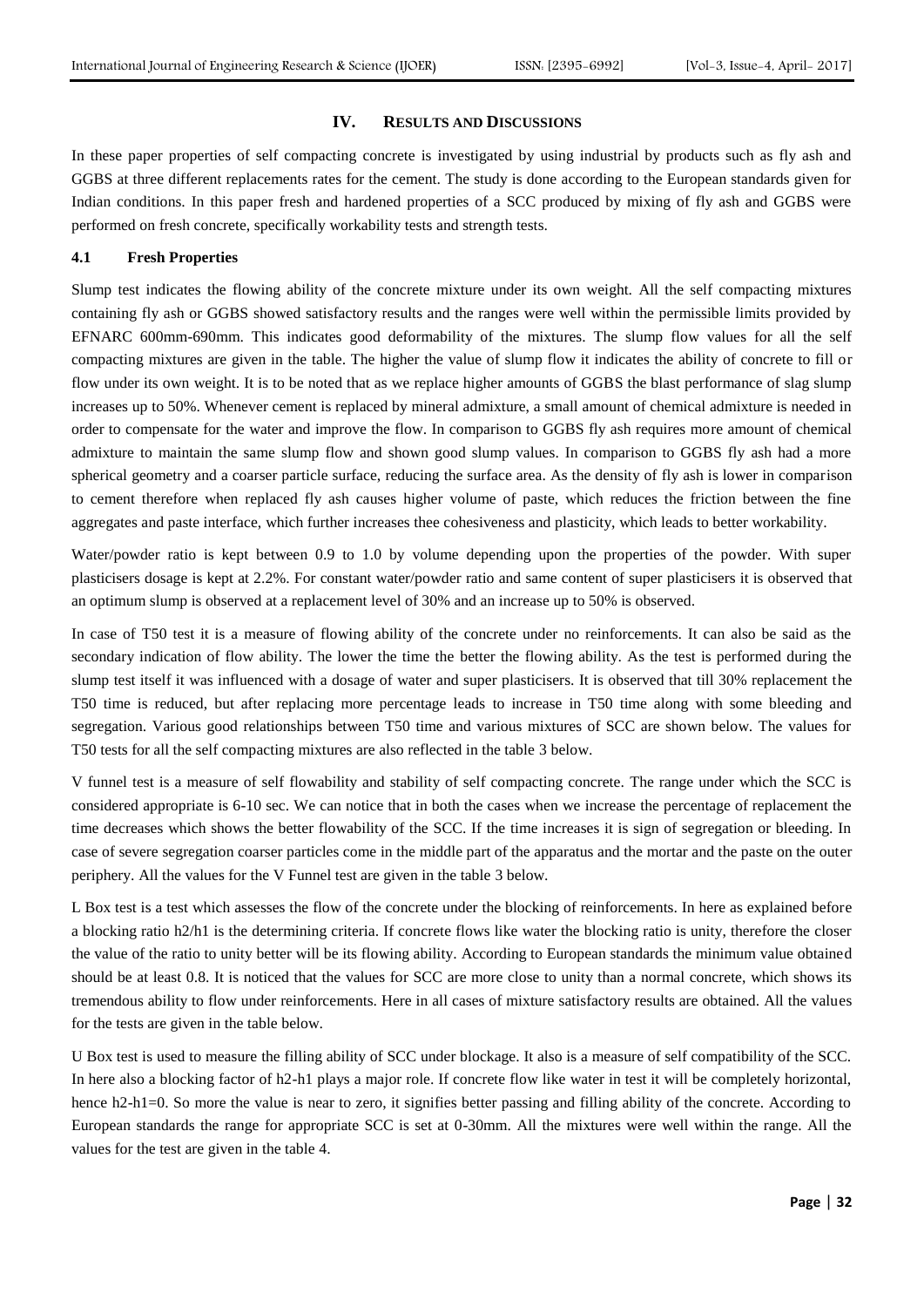#### **IV. RESULTS AND DISCUSSIONS**

In these paper properties of self compacting concrete is investigated by using industrial by products such as fly ash and GGBS at three different replacements rates for the cement. The study is done according to the European standards given for Indian conditions. In this paper fresh and hardened properties of a SCC produced by mixing of fly ash and GGBS were performed on fresh concrete, specifically workability tests and strength tests.

## **4.1 Fresh Properties**

Slump test indicates the flowing ability of the concrete mixture under its own weight. All the self compacting mixtures containing fly ash or GGBS showed satisfactory results and the ranges were well within the permissible limits provided by EFNARC 600mm-690mm. This indicates good deformability of the mixtures. The slump flow values for all the self compacting mixtures are given in the table. The higher the value of slump flow it indicates the ability of concrete to fill or flow under its own weight. It is to be noted that as we replace higher amounts of GGBS the blast performance of slag slump increases up to 50%. Whenever cement is replaced by mineral admixture, a small amount of chemical admixture is needed in order to compensate for the water and improve the flow. In comparison to GGBS fly ash requires more amount of chemical admixture to maintain the same slump flow and shown good slump values. In comparison to GGBS fly ash had a more spherical geometry and a coarser particle surface, reducing the surface area. As the density of fly ash is lower in comparison to cement therefore when replaced fly ash causes higher volume of paste, which reduces the friction between the fine aggregates and paste interface, which further increases thee cohesiveness and plasticity, which leads to better workability.

Water/powder ratio is kept between 0.9 to 1.0 by volume depending upon the properties of the powder. With super plasticisers dosage is kept at 2.2%. For constant water/powder ratio and same content of super plasticisers it is observed that an optimum slump is observed at a replacement level of 30% and an increase up to 50% is observed.

In case of T50 test it is a measure of flowing ability of the concrete under no reinforcements. It can also be said as the secondary indication of flow ability. The lower the time the better the flowing ability. As the test is performed during the slump test itself it was influenced with a dosage of water and super plasticisers. It is observed that till 30% replacement the T50 time is reduced, but after replacing more percentage leads to increase in T50 time along with some bleeding and segregation. Various good relationships between T50 time and various mixtures of SCC are shown below. The values for T50 tests for all the self compacting mixtures are also reflected in the table 3 below.

V funnel test is a measure of self flowability and stability of self compacting concrete. The range under which the SCC is considered appropriate is 6-10 sec. We can notice that in both the cases when we increase the percentage of replacement the time decreases which shows the better flowability of the SCC. If the time increases it is sign of segregation or bleeding. In case of severe segregation coarser particles come in the middle part of the apparatus and the mortar and the paste on the outer periphery. All the values for the V Funnel test are given in the table 3 below.

L Box test is a test which assesses the flow of the concrete under the blocking of reinforcements. In here as explained before a blocking ratio h2/h1 is the determining criteria. If concrete flows like water the blocking ratio is unity, therefore the closer the value of the ratio to unity better will be its flowing ability. According to European standards the minimum value obtained should be at least 0.8. It is noticed that the values for SCC are more close to unity than a normal concrete, which shows its tremendous ability to flow under reinforcements. Here in all cases of mixture satisfactory results are obtained. All the values for the tests are given in the table below.

U Box test is used to measure the filling ability of SCC under blockage. It also is a measure of self compatibility of the SCC. In here also a blocking factor of h2-h1 plays a major role. If concrete flow like water in test it will be completely horizontal, hence h2-h1=0. So more the value is near to zero, it signifies better passing and filling ability of the concrete. According to European standards the range for appropriate SCC is set at 0-30mm. All the mixtures were well within the range. All the values for the test are given in the table 4.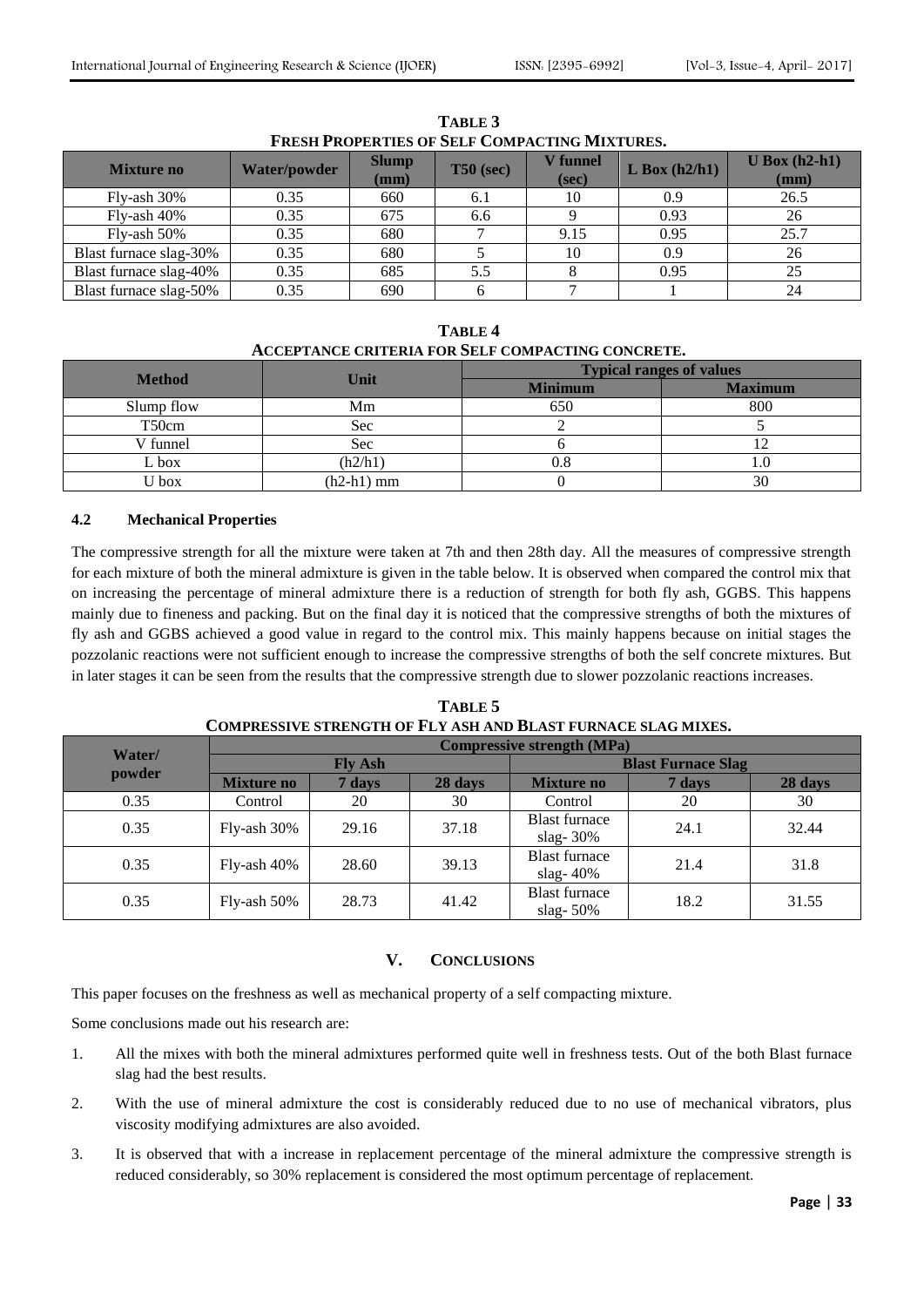| <b>Mixture no</b>      | <b>Water/powder</b> | <b>Slump</b><br>$(\mathbf{mm})$ | $T50$ (sec) | <b>V</b> funnel<br>(sec) | $L$ Box (h2/h1) | $U$ Box (h2-h1)<br>(mm) |
|------------------------|---------------------|---------------------------------|-------------|--------------------------|-----------------|-------------------------|
| Fly-ash 30%            | 0.35                | 660                             | 6.1         | 10                       | 0.9             | 26.5                    |
| Fly-ash 40%            | 0.35                | 675                             | 6.6         |                          | 0.93            | 26                      |
| $Fly-ash 50%$          | 0.35                | 680                             |             | 9.15                     | 0.95            | 25.7                    |
| Blast furnace slag-30% | 0.35                | 680                             |             | 10                       | 0.9             | 26                      |
| Blast furnace slag-40% | 0.35                | 685                             | 5.5         |                          | 0.95            | 25                      |
| Blast furnace slag-50% | 0.35                | 690                             |             |                          |                 | 24                      |

**TABLE 3 FRESH PROPERTIES OF SELF COMPACTING MIXTURES.**

**TABLE 4 ACCEPTANCE CRITERIA FOR SELF COMPACTING CONCRETE.**

| <b>Method</b> | Unit         | <b>Typical ranges of values</b> |                |  |
|---------------|--------------|---------------------------------|----------------|--|
|               |              | <b>Minimum</b>                  | <b>Maximum</b> |  |
| Slump flow    | Mm           | 650                             | 800            |  |
| T50cm         | Sec          |                                 |                |  |
| V funnel      | Sec          |                                 |                |  |
| L box         | (h2/h1)      | 0.8                             |                |  |
| $J_{\rm box}$ | $(h2-h1)$ mm |                                 | 30             |  |

# **4.2 Mechanical Properties**

The compressive strength for all the mixture were taken at 7th and then 28th day. All the measures of compressive strength for each mixture of both the mineral admixture is given in the table below. It is observed when compared the control mix that on increasing the percentage of mineral admixture there is a reduction of strength for both fly ash, GGBS. This happens mainly due to fineness and packing. But on the final day it is noticed that the compressive strengths of both the mixtures of fly ash and GGBS achieved a good value in regard to the control mix. This mainly happens because on initial stages the pozzolanic reactions were not sufficient enough to increase the compressive strengths of both the self concrete mixtures. But in later stages it can be seen from the results that the compressive strength due to slower pozzolanic reactions increases.

| Water/ | <b>Compressive strength (MPa)</b> |        |         |                                     |        |         |
|--------|-----------------------------------|--------|---------|-------------------------------------|--------|---------|
|        | <b>Fly Ash</b>                    |        |         | <b>Blast Furnace Slag</b>           |        |         |
| powder | <b>Mixture no</b>                 | 7 days | 28 days | <b>Mixture no</b>                   | 7 days | 28 days |
| 0.35   | Control                           | 20     | 30      | Control                             | 20     | 30      |
| 0.35   | Fly-ash 30%                       | 29.16  | 37.18   | <b>Blast furnace</b><br>slag- $30%$ | 24.1   | 32.44   |
| 0.35   | Fly-ash 40%                       | 28.60  | 39.13   | <b>Blast furnace</b><br>slag- $40%$ | 21.4   | 31.8    |
| 0.35   | Fly-ash 50%                       | 28.73  | 41.42   | <b>Blast furnace</b><br>slag- $50%$ | 18.2   | 31.55   |

**TABLE 5 COMPRESSIVE STRENGTH OF FLY ASH AND BLAST FURNACE SLAG MIXES.**

# **V. CONCLUSIONS**

This paper focuses on the freshness as well as mechanical property of a self compacting mixture.

Some conclusions made out his research are:

- 1. All the mixes with both the mineral admixtures performed quite well in freshness tests. Out of the both Blast furnace slag had the best results.
- 2. With the use of mineral admixture the cost is considerably reduced due to no use of mechanical vibrators, plus viscosity modifying admixtures are also avoided.
- 3. It is observed that with a increase in replacement percentage of the mineral admixture the compressive strength is reduced considerably, so 30% replacement is considered the most optimum percentage of replacement.